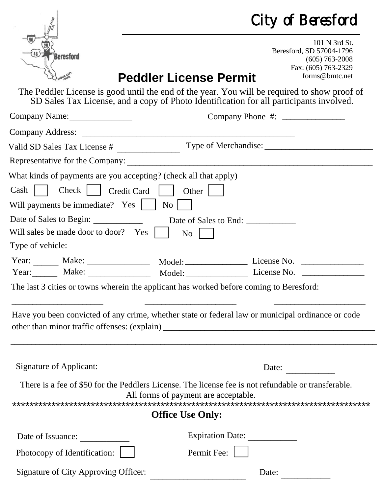| City of Beresford |  |  |  |  |  |
|-------------------|--|--|--|--|--|
|-------------------|--|--|--|--|--|

|                                                                                                                                                                                                                                                                                                                                                                                                                                                                                                                                                                            | City of Beresford                    |                                                                                                        |  |  |  |
|----------------------------------------------------------------------------------------------------------------------------------------------------------------------------------------------------------------------------------------------------------------------------------------------------------------------------------------------------------------------------------------------------------------------------------------------------------------------------------------------------------------------------------------------------------------------------|--------------------------------------|--------------------------------------------------------------------------------------------------------|--|--|--|
| <b>Beresford</b>                                                                                                                                                                                                                                                                                                                                                                                                                                                                                                                                                           | <b>Peddler License Permit</b>        | 101 N 3rd St.<br>Beresford, SD 57004-1796<br>$(605)$ 763-2008<br>Fax: (605) 763-2329<br>forms@bmtc.net |  |  |  |
| The Peddler License is good until the end of the year. You will be required to show proof of<br>SD Sales Tax License, and a copy of Photo Identification for all participants involved.                                                                                                                                                                                                                                                                                                                                                                                    |                                      |                                                                                                        |  |  |  |
| Company Name:                                                                                                                                                                                                                                                                                                                                                                                                                                                                                                                                                              |                                      |                                                                                                        |  |  |  |
|                                                                                                                                                                                                                                                                                                                                                                                                                                                                                                                                                                            |                                      |                                                                                                        |  |  |  |
| Valid SD Sales Tax License #                                                                                                                                                                                                                                                                                                                                                                                                                                                                                                                                               |                                      |                                                                                                        |  |  |  |
|                                                                                                                                                                                                                                                                                                                                                                                                                                                                                                                                                                            |                                      |                                                                                                        |  |  |  |
| What kinds of payments are you accepting? (check all that apply)<br>Cash     Check     Credit Card     Other  <br>Will payments be immediate? Yes     No    <br>Date of Sales to Begin: ____________<br>Will sales be made door to door? Yes<br>Type of vehicle:<br>Year: Make: Make: Model: Model: License No. 2000.<br>Year: Make: Make: Model: Model: License No. 2000.<br>The last 3 cities or towns wherein the applicant has worked before coming to Beresford:<br>Have you been convicted of any crime, whether state or federal law or municipal ordinance or code | Date of Sales to End:<br><b>No</b>   |                                                                                                        |  |  |  |
| <b>Signature of Applicant:</b>                                                                                                                                                                                                                                                                                                                                                                                                                                                                                                                                             |                                      | Date:                                                                                                  |  |  |  |
| There is a fee of \$50 for the Peddlers License. The license fee is not refundable or transferable.                                                                                                                                                                                                                                                                                                                                                                                                                                                                        | All forms of payment are acceptable. |                                                                                                        |  |  |  |
|                                                                                                                                                                                                                                                                                                                                                                                                                                                                                                                                                                            |                                      |                                                                                                        |  |  |  |
| <b>Office Use Only:</b>                                                                                                                                                                                                                                                                                                                                                                                                                                                                                                                                                    |                                      |                                                                                                        |  |  |  |
| Date of Issuance:                                                                                                                                                                                                                                                                                                                                                                                                                                                                                                                                                          | Expiration Date:                     |                                                                                                        |  |  |  |
| Photocopy of Identification:                                                                                                                                                                                                                                                                                                                                                                                                                                                                                                                                               | Permit Fee:                          |                                                                                                        |  |  |  |
| <b>Signature of City Approving Officer:</b>                                                                                                                                                                                                                                                                                                                                                                                                                                                                                                                                |                                      | Date:                                                                                                  |  |  |  |